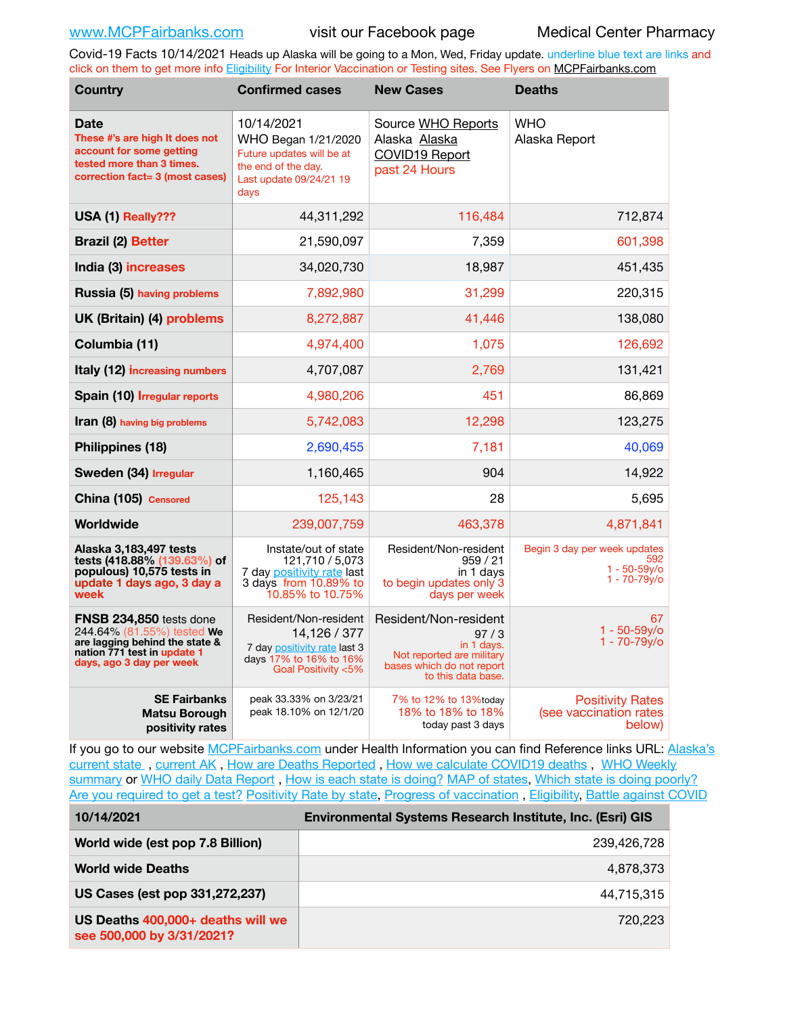Covid-19 Facts 10/14/2021 Heads up Alaska will be going to a Mon, Wed, Friday update. underline blue text are links and click on them to get more info [Eligibility](http://dhss.alaska.gov/dph/Epi/id/Pages/COVID-19/VaccineAvailability.aspx) For Interior Vaccination or Testing sites. See Flyers on [MCPFairbanks.com](http://www.MCPFairbanks.com)

| <b>Country</b>                                                                                                                                     | <b>Confirmed cases</b>                                                                                                   | <b>New Cases</b>                                                                                                            | <b>Deaths</b>                                                             |
|----------------------------------------------------------------------------------------------------------------------------------------------------|--------------------------------------------------------------------------------------------------------------------------|-----------------------------------------------------------------------------------------------------------------------------|---------------------------------------------------------------------------|
| <b>Date</b><br>These #'s are high It does not<br>account for some getting<br>tested more than 3 times.<br>correction fact= 3 (most cases)          | 10/14/2021<br>WHO Began 1/21/2020<br>Future updates will be at<br>the end of the day.<br>Last update 09/24/21 19<br>days | Source WHO Reports<br>Alaska Alaska<br>COVID19 Report<br>past 24 Hours                                                      | <b>WHO</b><br>Alaska Report                                               |
| USA (1) Really???                                                                                                                                  | 44,311,292                                                                                                               | 116,484                                                                                                                     | 712,874                                                                   |
| <b>Brazil (2) Better</b>                                                                                                                           | 21,590,097                                                                                                               | 7,359                                                                                                                       | 601,398                                                                   |
| India (3) increases                                                                                                                                | 34,020,730                                                                                                               | 18,987                                                                                                                      | 451,435                                                                   |
| Russia (5) having problems                                                                                                                         | 7,892,980                                                                                                                | 31,299                                                                                                                      | 220,315                                                                   |
| UK (Britain) (4) problems                                                                                                                          | 8,272,887                                                                                                                | 41,446                                                                                                                      | 138,080                                                                   |
| Columbia (11)                                                                                                                                      | 4,974,400                                                                                                                | 1,075                                                                                                                       | 126,692                                                                   |
| Italy (12) increasing numbers                                                                                                                      | 4,707,087                                                                                                                | 2,769                                                                                                                       | 131,421                                                                   |
| Spain (10) Irregular reports                                                                                                                       | 4,980,206                                                                                                                | 451                                                                                                                         | 86,869                                                                    |
| Iran (8) having big problems                                                                                                                       | 5,742,083                                                                                                                | 12,298                                                                                                                      | 123,275                                                                   |
| Philippines (18)                                                                                                                                   | 2,690,455                                                                                                                | 7,181                                                                                                                       | 40,069                                                                    |
| Sweden (34) Irregular                                                                                                                              | 1,160,465                                                                                                                | 904                                                                                                                         | 14,922                                                                    |
| China (105) Censored                                                                                                                               | 125,143                                                                                                                  | 28                                                                                                                          | 5,695                                                                     |
| Worldwide                                                                                                                                          | 239,007,759                                                                                                              | 463,378                                                                                                                     | 4,871,841                                                                 |
| Alaska 3,183,497 tests<br>tests (418.88% (139.63%) of<br>populous) 10,575 tests in<br>update 1 days ago, 3 day a<br>week                           | Instate/out of state<br>121,710 / 5,073<br>7 day positivity rate last<br>3 days from 10.89% to<br>10.85% to 10.75%       | Resident/Non-resident<br>959/21<br>in 1 days<br>to begin updates only 3<br>days per week                                    | Begin 3 day per week updates<br>592<br>$1 - 50 - 59v$ o<br>$1 - 70 - 79y$ |
| FNSB 234,850 tests done<br>244.64% (81.55%) tested We<br>are lagging behind the state &<br>nation 771 test in update 1<br>days, ago 3 day per week | Resident/Non-resident<br>14.126 / 377<br>7 day positivity rate last 3<br>days 17% to 16% to 16%<br>Goal Positivity <5%   | Resident/Non-resident<br>97/3<br>in 1 days.<br>Not reported are military<br>bases which do not report<br>to this data base. | 67<br>$1 - 50 - 59y$ o<br>$1 - 70 - 79y/6$                                |
| <b>SE Fairbanks</b><br><b>Matsu Borough</b><br>positivity rates                                                                                    | peak 33.33% on 3/23/21<br>peak 18.10% on 12/1/20                                                                         | 7% to 12% to 13% today<br>18% to 18% to 18%<br>today past 3 days                                                            | <b>Positivity Rates</b><br>(see vaccination rates<br>below)               |

If you go to our website [MCPFairbanks.com](http://www.MCPFairbanks.com) under Health Information you can find Reference links URL: Alaska's [current state](https://coronavirus-response-alaska-dhss.hub.arcgis.com) , [current AK](http://dhss.alaska.gov/dph/Epi/id/Pages/COVID-19/communications.aspx#cases) , [How are Deaths Reported](http://dhss.alaska.gov/dph/Epi/id/Pages/COVID-19/deathcounts.aspx) , [How we calculate COVID19 deaths](https://coronavirus-response-alaska-dhss.hub.arcgis.com/search?collection=Document&groupIds=41ccb3344ebc4bd682c74073eba21f42) , [WHO Weekly](http://www.who.int)  [summary](http://www.who.int) or [WHO daily Data Report](https://covid19.who.int/table), [How is each state is doing?](https://www.msn.com/en-us/news/us/state-by-state-coronavirus-news/ar-BB13E1PX?fbclid=IwAR0_OBJH7lSyTN3ug_MsOeFnNgB1orTa9OBgilKJ7dhnwlVvHEsptuKkj1c) [MAP of states,](https://www.nationalgeographic.com/science/graphics/graphic-tracking-coronavirus-infections-us?cmpid=org=ngp::mc=crm-email::src=ngp::cmp=editorial::add=SpecialEdition_20210305&rid=B9A6DF5992658E8E35CE023113CFEA4C) [Which state is doing poorly?](https://bestlifeonline.com/covid-outbreak-your-state/?utm_source=nsltr&utm_medium=email&utm_content=covid-outbreak-your-state&utm_campaign=launch) [Are you required to get a test?](http://dhss.alaska.gov/dph/Epi/id/SiteAssets/Pages/HumanCoV/Whattodoafteryourtest.pdf) [Positivity Rate by state](https://coronavirus.jhu.edu/testing/individual-states/alaska), Progress of vaccination, [Eligibility,](http://dhss.alaska.gov/dph/Epi/id/Pages/COVID-19/VaccineAvailability.aspx) [Battle against COVID](https://www.nationalgeographic.com/science/graphics/graphic-tracking-coronavirus-infections-us?cmpid=org=ngp::mc=crm-email::src=ngp::cmp=editorial::add=SpecialEdition_20210219&rid=B9A6DF5992658E8E35CE023113CFEA4C)

| 10/14/2021                                                     | <b>Environmental Systems Research Institute, Inc. (Esri) GIS</b> |  |
|----------------------------------------------------------------|------------------------------------------------------------------|--|
| World wide (est pop 7.8 Billion)                               | 239,426,728                                                      |  |
| <b>World wide Deaths</b>                                       | 4,878,373                                                        |  |
| US Cases (est pop 331,272,237)                                 | 44.715.315                                                       |  |
| US Deaths 400,000+ deaths will we<br>see 500,000 by 3/31/2021? | 720.223                                                          |  |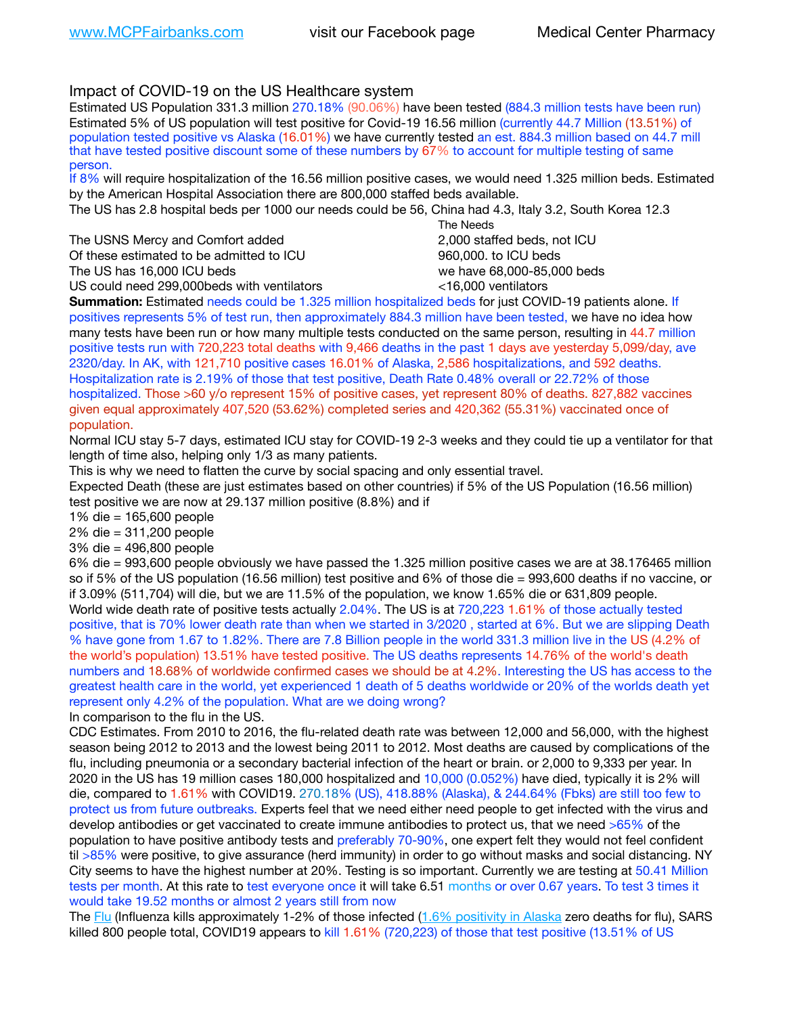# Impact of COVID-19 on the US Healthcare system

Estimated US Population 331.3 million 270.18% (90.06%) have been tested (884.3 million tests have been run) Estimated 5% of US population will test positive for Covid-19 16.56 million (currently 44.7 Million (13.51%) of population tested positive vs Alaska (16.01%) we have currently tested an est. 884.3 million based on 44.7 mill that have tested positive discount some of these numbers by 67% to account for multiple testing of same person.

If 8% will require hospitalization of the 16.56 million positive cases, we would need 1.325 million beds. Estimated by the American Hospital Association there are 800,000 staffed beds available.

The US has 2.8 hospital beds per 1000 our needs could be 56, China had 4.3, Italy 3.2, South Korea 12.3

The USNS Mercy and Comfort added 2,000 staffed beds, not ICU Of these estimated to be admitted to ICU **860,000**. to ICU beds The US has 16,000 ICU beds we have 68,000-85,000 beds US could need 299,000 beds with ventilators  $\leq 16,000$  ventilators

 The Needs

**Summation:** Estimated needs could be 1.325 million hospitalized beds for just COVID-19 patients alone. If positives represents 5% of test run, then approximately 884.3 million have been tested, we have no idea how many tests have been run or how many multiple tests conducted on the same person, resulting in 44.7 million positive tests run with 720,223 total deaths with 9,466 deaths in the past 1 days ave yesterday 5,099/day, ave 2320/day. In AK, with 121,710 positive cases 16.01% of Alaska, 2,586 hospitalizations, and 592 deaths. Hospitalization rate is 2.19% of those that test positive, Death Rate 0.48% overall or 22.72% of those hospitalized. Those >60 y/o represent 15% of positive cases, yet represent 80% of deaths. 827,882 vaccines given equal approximately 407,520 (53.62%) completed series and 420,362 (55.31%) vaccinated once of population.

Normal ICU stay 5-7 days, estimated ICU stay for COVID-19 2-3 weeks and they could tie up a ventilator for that length of time also, helping only 1/3 as many patients.

This is why we need to flatten the curve by social spacing and only essential travel.

Expected Death (these are just estimates based on other countries) if 5% of the US Population (16.56 million) test positive we are now at 29.137 million positive (8.8%) and if

1% die = 165,600 people

2% die = 311,200 people

3% die = 496,800 people

6% die = 993,600 people obviously we have passed the 1.325 million positive cases we are at 38.176465 million so if 5% of the US population (16.56 million) test positive and 6% of those die = 993,600 deaths if no vaccine, or if 3.09% (511,704) will die, but we are 11.5% of the population, we know 1.65% die or 631,809 people. World wide death rate of positive tests actually 2.04%. The US is at 720,223 1.61% of those actually tested positive, that is 70% lower death rate than when we started in 3/2020 , started at 6%. But we are slipping Death % have gone from 1.67 to 1.82%. There are 7.8 Billion people in the world 331.3 million live in the US (4.2% of the world's population) 13.51% have tested positive. The US deaths represents 14.76% of the world's death numbers and 18.68% of worldwide confirmed cases we should be at 4.2%. Interesting the US has access to the greatest health care in the world, yet experienced 1 death of 5 deaths worldwide or 20% of the worlds death yet represent only 4.2% of the population. What are we doing wrong?

In comparison to the flu in the US.

CDC Estimates. From 2010 to 2016, the flu-related death rate was between 12,000 and 56,000, with the highest season being 2012 to 2013 and the lowest being 2011 to 2012. Most deaths are caused by complications of the flu, including pneumonia or a secondary bacterial infection of the heart or brain. or 2,000 to 9,333 per year. In 2020 in the US has 19 million cases 180,000 hospitalized and 10,000 (0.052%) have died, typically it is 2% will die, compared to 1.61% with COVID19. 270.18% (US), 418.88% (Alaska), & 244.64% (Fbks) are still too few to protect us from future outbreaks. Experts feel that we need either need people to get infected with the virus and develop antibodies or get vaccinated to create immune antibodies to protect us, that we need >65% of the population to have positive antibody tests and preferably 70-90%, one expert felt they would not feel confident til >85% were positive, to give assurance (herd immunity) in order to go without masks and social distancing. NY City seems to have the highest number at 20%. Testing is so important. Currently we are testing at 50.41 Million tests per month. At this rate to test everyone once it will take 6.51 months or over 0.67 years. To test 3 times it would take 19.52 months or almost 2 years still from now

The [Flu](https://lnks.gd/l/eyJhbGciOiJIUzI1NiJ9.eyJidWxsZXRpbl9saW5rX2lkIjoxMDMsInVyaSI6ImJwMjpjbGljayIsImJ1bGxldGluX2lkIjoiMjAyMTAyMjYuMzYwNDA3NTEiLCJ1cmwiOiJodHRwczovL3d3dy5jZGMuZ292L2ZsdS93ZWVrbHkvb3ZlcnZpZXcuaHRtIn0.ePMA_hsZ-pTnhWSyg1gHvHWYTu2XceVOt0JejxvP1WE/s/500544915/br/98428119752-l) (Influenza kills approximately 1-2% of those infected ([1.6% positivity in Alaska](http://dhss.alaska.gov/dph/Epi/id/SiteAssets/Pages/influenza/trends/Snapshot.pdf) zero deaths for flu), SARS killed 800 people total, COVID19 appears to kill 1.61% (720,223) of those that test positive (13.51% of US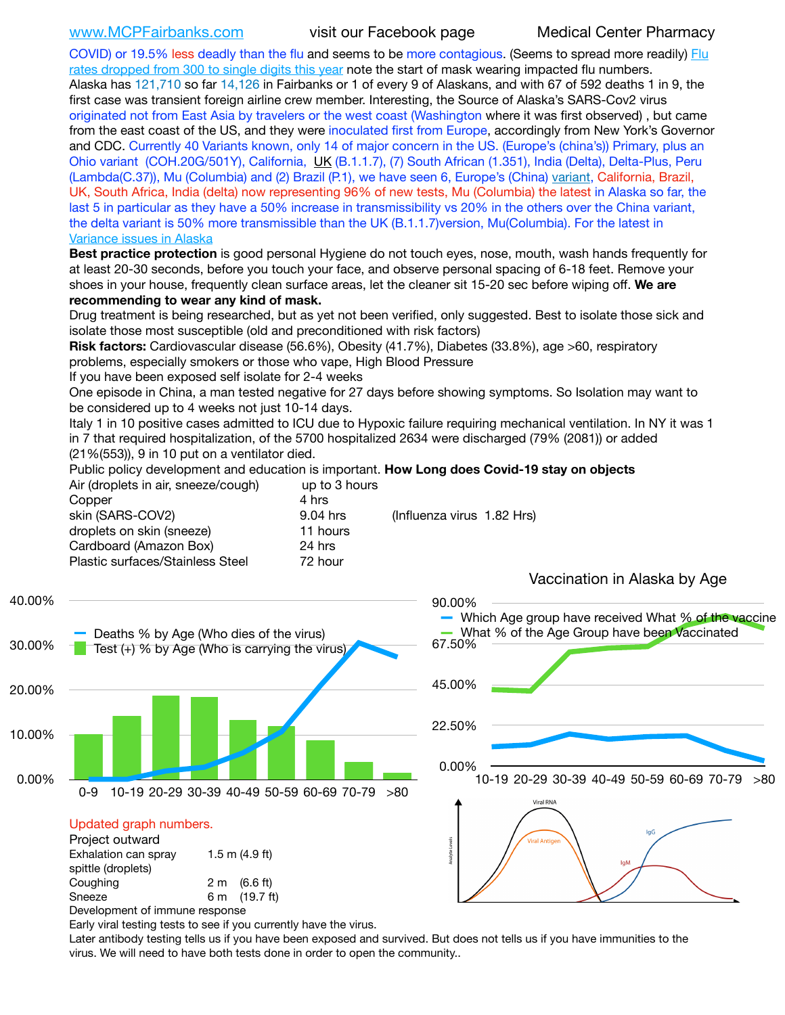COVID) or 19.5% less deadly than the flu and seems to be more contagious. (Seems to spread more readily) [Flu](https://lnks.gd/l/eyJhbGciOiJIUzI1NiJ9.eyJidWxsZXRpbl9saW5rX2lkIjoxMDEsInVyaSI6ImJwMjpjbGljayIsImJ1bGxldGluX2lkIjoiMjAyMTAyMjYuMzYwNDA3NTEiLCJ1cmwiOiJodHRwOi8vZGhzcy5hbGFza2EuZ292L2RwaC9FcGkvaWQvUGFnZXMvaW5mbHVlbnphL2ZsdWluZm8uYXNweCJ9.oOe3nt2fww6XpsNhb4FZfmtPfPa-irGaldpkURBJhSo/s/500544915/br/98428119752-l)  [rates dropped from 300 to single digits this year](https://lnks.gd/l/eyJhbGciOiJIUzI1NiJ9.eyJidWxsZXRpbl9saW5rX2lkIjoxMDEsInVyaSI6ImJwMjpjbGljayIsImJ1bGxldGluX2lkIjoiMjAyMTAyMjYuMzYwNDA3NTEiLCJ1cmwiOiJodHRwOi8vZGhzcy5hbGFza2EuZ292L2RwaC9FcGkvaWQvUGFnZXMvaW5mbHVlbnphL2ZsdWluZm8uYXNweCJ9.oOe3nt2fww6XpsNhb4FZfmtPfPa-irGaldpkURBJhSo/s/500544915/br/98428119752-l) note the start of mask wearing impacted flu numbers. Alaska has 121,710 so far 14,126 in Fairbanks or 1 of every 9 of Alaskans, and with 67 of 592 deaths 1 in 9, the first case was transient foreign airline crew member. Interesting, the Source of Alaska's SARS-Cov2 virus originated not from East Asia by travelers or the west coast (Washington where it was first observed) , but came from the east coast of the US, and they were inoculated first from Europe, accordingly from New York's Governor and CDC. Currently 40 Variants known, only 14 of major concern in the US. (Europe's (china's)) Primary, plus an Ohio variant (COH.20G/501Y), California, [UK](https://www.cdc.gov/coronavirus/2019-ncov/transmission/variant-cases.html) (B.1.1.7), (7) South African (1.351), India (Delta), Delta-Plus, Peru (Lambda(C.37)), Mu (Columbia) and (2) Brazil (P.1), we have seen 6, Europe's (China) [variant,](https://www.webmd.com/lung/news/20210318/cdc-who-create-threat-levels-for-covid-variants?ecd=wnl_cvd_031921&ctr=wnl-cvd-031921&mb=kYbf7DsHb7YGjh/1RUkcAW0T6iorImAU1TDZh18RYs0=_Support_titleLink_2) California, Brazil, UK, South Africa, India (delta) now representing 96% of new tests, Mu (Columbia) the latest in Alaska so far, the last 5 in particular as they have a 50% increase in transmissibility vs 20% in the others over the China variant, the delta variant is 50% more transmissible than the UK (B.1.1.7)version, Mu(Columbia). For the latest in [Variance issues in Alaska](https://lnks.gd/l/eyJhbGciOiJIUzI1NiJ9.eyJidWxsZXRpbl9saW5rX2lkIjoxMDgsInVyaSI6ImJwMjpjbGljayIsImJ1bGxldGluX2lkIjoiMjAyMTA4MDUuNDQxMzM4NzEiLCJ1cmwiOiJodHRwOi8vZGhzcy5hbGFza2EuZ292L2RwaC9FcGkvaWQvc2l0ZWFzc2V0cy9wYWdlcy9odW1hbmNvdi9BS1NlcUNvbl9HZW5vbWljU2l0dWF0aW9uUmVwb3J0LnBkZiJ9.wjCZc7vYm_CIgdjPTJyJ9ehoQjtub_KeZLTKgTIA69A/s/500544915/br/110405970878-l)

**Best practice protection** is good personal Hygiene do not touch eyes, nose, mouth, wash hands frequently for at least 20-30 seconds, before you touch your face, and observe personal spacing of 6-18 feet. Remove your shoes in your house, frequently clean surface areas, let the cleaner sit 15-20 sec before wiping off. **We are recommending to wear any kind of mask.**

Drug treatment is being researched, but as yet not been verified, only suggested. Best to isolate those sick and isolate those most susceptible (old and preconditioned with risk factors)

**Risk factors:** Cardiovascular disease (56.6%), Obesity (41.7%), Diabetes (33.8%), age >60, respiratory problems, especially smokers or those who vape, High Blood Pressure

If you have been exposed self isolate for 2-4 weeks

One episode in China, a man tested negative for 27 days before showing symptoms. So Isolation may want to be considered up to 4 weeks not just 10-14 days.

Italy 1 in 10 positive cases admitted to ICU due to Hypoxic failure requiring mechanical ventilation. In NY it was 1 in 7 that required hospitalization, of the 5700 hospitalized 2634 were discharged (79% (2081)) or added (21%(553)), 9 in 10 put on a ventilator died.

Public policy development and education is important. **How Long does Covid-19 stay on objects**

| Air (droplets in air, sneeze/cough) | up to 3 hours |                            |
|-------------------------------------|---------------|----------------------------|
| Copper                              | 4 hrs         |                            |
| skin (SARS-COV2)                    | 9.04 hrs      | (Influenza virus 1.82 Hrs) |
| droplets on skin (sneeze)           | 11 hours      |                            |
| Cardboard (Amazon Box)              | 24 hrs        |                            |
| Plastic surfaces/Stainless Steel    | 72 hour       |                            |
|                                     |               |                            |



Early viral testing tests to see if you currently have the virus.

Later antibody testing tells us if you have been exposed and survived. But does not tells us if you have immunities to the virus. We will need to have both tests done in order to open the community..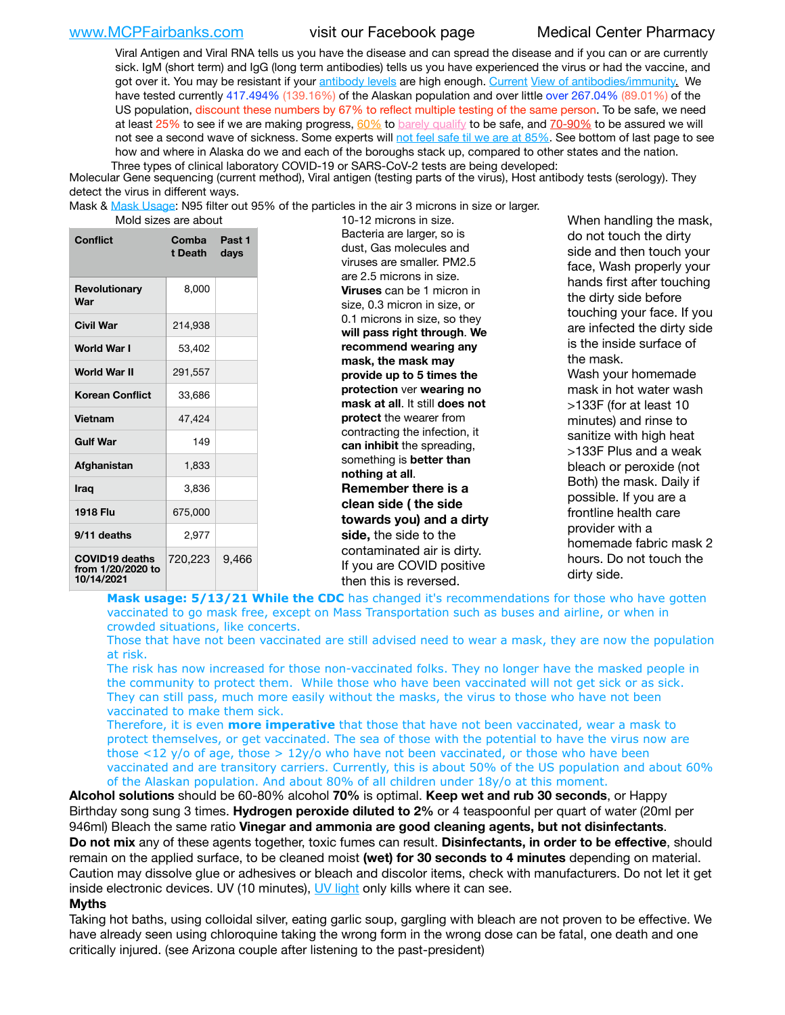[www.MCPFairbanks.com](http://www.MCPFairbanks.com) visit our Facebook page Medical Center Pharmacy

Viral Antigen and Viral RNA tells us you have the disease and can spread the disease and if you can or are currently sick. IgM (short term) and IgG (long term antibodies) tells us you have experienced the virus or had the vaccine, and got over it. You may be resistant if your [antibody levels](https://www.cdc.gov/coronavirus/2019-ncov/lab/resources/antibody-tests.html) are high enough. [Current](https://l.facebook.com/l.php?u=https://www.itv.com/news/2020-10-26/covid-19-antibody-levels-reduce-over-time-study-finds?fbclid=IwAR3Dapzh1qIH1EIOdUQI2y8THf7jfA4KBCaJz8Qg-8xe1YsrR4nsAHDIXSY&h=AT30nut8pkqp0heVuz5W2rT2WFFm-2Ab52BsJxZZCNlGsX58IpPkuVEPULbIUV_M16MAukx1Kwb657DPXxsgDN1rpOQ4gqBtQsmVYiWpnHPJo2RQsU6CPMd14lgLnQnFWxfVi6zvmw&__tn__=-UK-R&c%5B0%5D=AT1GaRAfR_nGAyqcn7TI1-PpvqOqEKXHnz6TDWvRStMnOSH7boQDvTiwTOc6VId9UES6LKiOmm2m88wKCoolkJyOFvakt2Z1Mw8toYWGGoWW23r0MNVBl7cYJXB_UOvGklNHaNnaNr1_S7NhT3BSykNOBg) [View of antibodies/immunity](https://www.livescience.com/antibodies.html)[.](https://www.itv.com/news/2020-10-26/covid-19-antibody-levels-reduce-over-time-study-finds) We have tested currently 417.494% (139.16%) of the Alaskan population and over little over 267.04% (89.01%) of the US population, discount these numbers by 67% to reflect multiple testing of the same person. To be safe, we need at least 25% to see if we are making progress, [60%](https://www.jhsph.edu/covid-19/articles/achieving-herd-immunity-with-covid19.html) to [barely qualify](https://www.nature.com/articles/d41586-020-02948-4) to be safe, and [70-90%](https://www.mayoclinic.org/herd-immunity-and-coronavirus/art-20486808) to be assured we will not see a second wave of sickness. Some experts will [not feel safe til we are at 85%.](https://www.bannerhealth.com/healthcareblog/teach-me/what-is-herd-immunity) See bottom of last page to see how and where in Alaska do we and each of the boroughs stack up, compared to other states and the nation. Three types of clinical laboratory COVID-19 or SARS-CoV-2 tests are being developed:

 Molecular Gene sequencing (current method), Viral antigen (testing parts of the virus), Host antibody tests (serology). They detect the virus in different ways.

Mask & [Mask Usage:](https://www.nationalgeographic.com/history/2020/03/how-cities-flattened-curve-1918-spanish-flu-pandemic-coronavirus/) N95 filter out 95% of the particles in the air 3 microns in size or larger.

| <b>Conflict</b>                                          | Comba<br>t Death | Past 1<br>days |
|----------------------------------------------------------|------------------|----------------|
| <b>Revolutionary</b><br>War                              | 8,000            |                |
| Civil War                                                | 214,938          |                |
| World War I                                              | 53,402           |                |
| World War II                                             | 291,557          |                |
| <b>Korean Conflict</b>                                   | 33,686           |                |
| <b>Vietnam</b>                                           | 47,424           |                |
| <b>Gulf War</b>                                          | 149              |                |
| Afghanistan                                              | 1,833            |                |
| <b>Iraq</b>                                              | 3,836            |                |
| 1918 Flu                                                 | 675,000          |                |
| 9/11 deaths                                              | 2.977            |                |
| <b>COVID19 deaths</b><br>from 1/20/2020 to<br>10/14/2021 | 720,223          | 9,466          |

Mold sizes are about 10-12 microns in size. Bacteria are larger, so is dust, Gas molecules and viruses are smaller. PM2.5 are 2.5 microns in size. **Viruses** can be 1 micron in size, 0.3 micron in size, or 0.1 microns in size, so they **will pass right through**. **We recommend wearing any mask, the mask may provide up to 5 times the protection** ver **wearing no mask at all**. It still **does not protect** the wearer from contracting the infection, it **can inhibit** the spreading, something is **better than nothing at all**. **Remember there is a clean side ( the side towards you) and a dirty side,** the side to the contaminated air is dirty. If you are COVID positive then this is reversed.

When handling the mask, do not touch the dirty side and then touch your face, Wash properly your hands first after touching the dirty side before touching your face. If you are infected the dirty side is the inside surface of the mask. Wash your homemade mask in hot water wash >133F (for at least 10 minutes) and rinse to sanitize with high heat >133F Plus and a weak bleach or peroxide (not Both) the mask. Daily if possible. If you are a frontline health care provider with a homemade fabric mask 2 hours. Do not touch the dirty side.

**Mask usage: 5/13/21 While the CDC** has changed it's recommendations for those who have gotten vaccinated to go mask free, except on Mass Transportation such as buses and airline, or when in crowded situations, like concerts.

Those that have not been vaccinated are still advised need to wear a mask, they are now the population at risk.

The risk has now increased for those non-vaccinated folks. They no longer have the masked people in the community to protect them. While those who have been vaccinated will not get sick or as sick. They can still pass, much more easily without the masks, the virus to those who have not been vaccinated to make them sick.

Therefore, it is even **more imperative** that those that have not been vaccinated, wear a mask to protect themselves, or get vaccinated. The sea of those with the potential to have the virus now are those <12 y/o of age, those >  $12y$ /o who have not been vaccinated, or those who have been vaccinated and are transitory carriers. Currently, this is about 50% of the US population and about 60% of the Alaskan population. And about 80% of all children under 18y/o at this moment.

**Alcohol solutions** should be 60-80% alcohol **70%** is optimal. **Keep wet and rub 30 seconds**, or Happy Birthday song sung 3 times. **Hydrogen peroxide diluted to 2%** or 4 teaspoonful per quart of water (20ml per 946ml) Bleach the same ratio **Vinegar and ammonia are good cleaning agents, but not disinfectants**. **Do not mix** any of these agents together, toxic fumes can result. **Disinfectants, in order to be effective**, should remain on the applied surface, to be cleaned moist **(wet) for 30 seconds to 4 minutes** depending on material. Caution may dissolve glue or adhesives or bleach and discolor items, check with manufacturers. Do not let it get inside electronic devices. UV (10 minutes), [UV light](http://www.docreviews.me/best-uv-boxes-2020/?fbclid=IwAR3bvFtXB48OoBBSvYvTEnKuHNPbipxM6jUo82QUSw9wckxjC7wwRZWabGw) only kills where it can see.

### **Myths**

Taking hot baths, using colloidal silver, eating garlic soup, gargling with bleach are not proven to be effective. We have already seen using chloroquine taking the wrong form in the wrong dose can be fatal, one death and one critically injured. (see Arizona couple after listening to the past-president)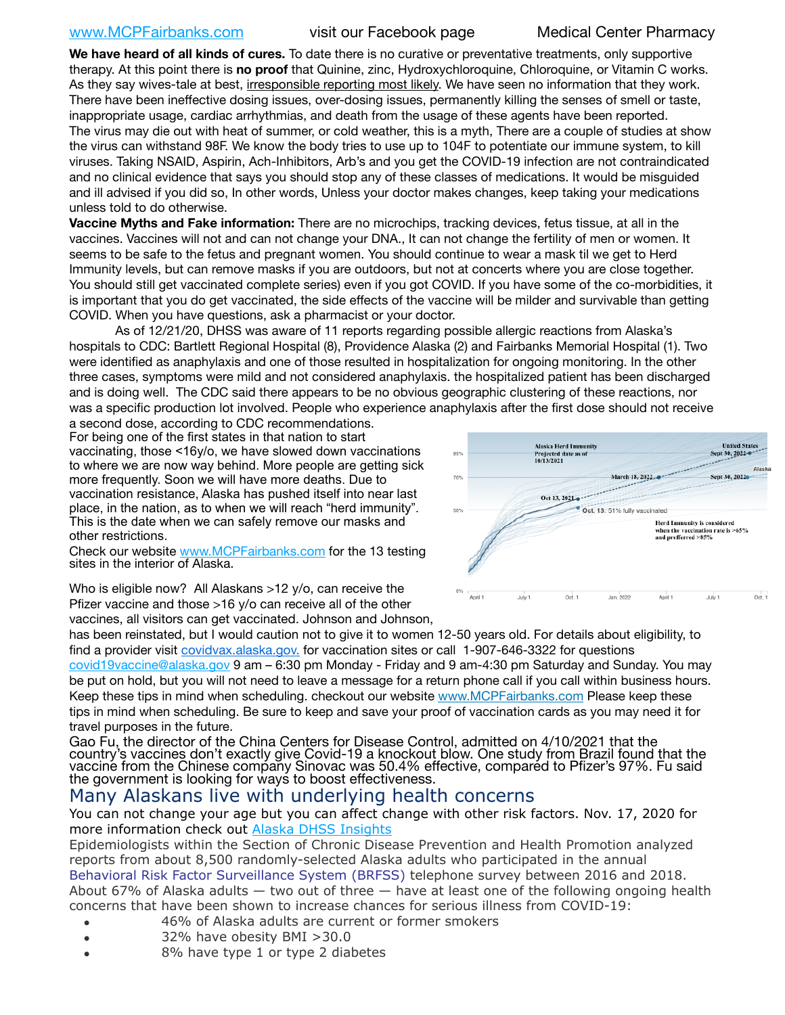## [www.MCPFairbanks.com](http://www.MCPFairbanks.com) visit our Facebook page Medical Center Pharmacy

**We have heard of all kinds of cures.** To date there is no curative or preventative treatments, only supportive therapy. At this point there is **no proof** that Quinine, zinc, Hydroxychloroquine, Chloroquine, or Vitamin C works. As they say wives-tale at best, irresponsible reporting most likely. We have seen no information that they work. There have been ineffective dosing issues, over-dosing issues, permanently killing the senses of smell or taste, inappropriate usage, cardiac arrhythmias, and death from the usage of these agents have been reported. The virus may die out with heat of summer, or cold weather, this is a myth, There are a couple of studies at show the virus can withstand 98F. We know the body tries to use up to 104F to potentiate our immune system, to kill viruses. Taking NSAID, Aspirin, Ach-Inhibitors, Arb's and you get the COVID-19 infection are not contraindicated and no clinical evidence that says you should stop any of these classes of medications. It would be misguided and ill advised if you did so, In other words, Unless your doctor makes changes, keep taking your medications unless told to do otherwise.

**Vaccine Myths and Fake information:** There are no microchips, tracking devices, fetus tissue, at all in the vaccines. Vaccines will not and can not change your DNA., It can not change the fertility of men or women. It seems to be safe to the fetus and pregnant women. You should continue to wear a mask til we get to Herd Immunity levels, but can remove masks if you are outdoors, but not at concerts where you are close together. You should still get vaccinated complete series) even if you got COVID. If you have some of the co-morbidities, it is important that you do get vaccinated, the side effects of the vaccine will be milder and survivable than getting COVID. When you have questions, ask a pharmacist or your doctor.

As of 12/21/20, DHSS was aware of 11 reports regarding possible allergic reactions from Alaska's hospitals to CDC: Bartlett Regional Hospital (8), Providence Alaska (2) and Fairbanks Memorial Hospital (1). Two were identified as anaphylaxis and one of those resulted in hospitalization for ongoing monitoring. In the other three cases, symptoms were mild and not considered anaphylaxis. the hospitalized patient has been discharged and is doing well. The CDC said there appears to be no obvious geographic clustering of these reactions, nor was a specific production lot involved. People who experience anaphylaxis after the first dose should not receive

a second dose, according to CDC recommendations. For being one of the first states in that nation to start vaccinating, those <16y/o, we have slowed down vaccinations to where we are now way behind. More people are getting sick more frequently. Soon we will have more deaths. Due to vaccination resistance, Alaska has pushed itself into near last place, in the nation, as to when we will reach "herd immunity". This is the date when we can safely remove our masks and other restrictions.

Check our website [www.MCPFairbanks.com](http://www.MCPFairbanks.com) for the 13 testing sites in the interior of Alaska.



Who is eligible now? All Alaskans >12 y/o, can receive the Pfizer vaccine and those >16 y/o can receive all of the other

vaccines, all visitors can get vaccinated. Johnson and Johnson,

has been reinstated, but I would caution not to give it to women 12-50 years old. For details about eligibility, to find a provider visit [covidvax.alaska.gov.](https://lnks.gd/l/eyJhbGciOiJIUzI1NiJ9.eyJidWxsZXRpbl9saW5rX2lkIjoxMDYsInVyaSI6ImJwMjpjbGljayIsImJ1bGxldGluX2lkIjoiMjAyMTAxMjguMzQwODU3NjEiLCJ1cmwiOiJodHRwOi8vZGhzcy5hbGFza2EuZ292L2RwaC9FcGkvaWQvUGFnZXMvQ09WSUQtMTkvdmFjY2luZS5hc3B4In0.-Xwhl42jAWOMS7ewfS85uxwrwjohCso3Sb81DuDKtxU/s/500544915/br/93796640171-l) for vaccination sites or call 1-907-646-3322 for questions [covid19vaccine@alaska.gov](mailto:covid19vaccine@alaska.gov?subject=COVID19%20Vaccine%20questions) 9 am – 6:30 pm Monday - Friday and 9 am-4:30 pm Saturday and Sunday. You may be put on hold, but you will not need to leave a message for a return phone call if you call within business hours. Keep these tips in mind when scheduling. checkout our website [www.MCPFairbanks.com](http://www.MCPFairbanks.com) Please keep these tips in mind when scheduling. Be sure to keep and save your proof of vaccination cards as you may need it for travel purposes in the future.

Gao Fu, the director of the China Centers for Disease Control, admitted on 4/10/2021 that the country's vaccines don't exactly give Covid-19 a knockout blow. One study from Brazil found that the vaccine from the Chinese company Sinovac was 50.4% effective, compared to Pfizer's 97%. Fu said the government is looking for ways to boost effectiveness.

# Many Alaskans live with underlying health concerns

You can not change your age but you can affect change with other risk factors. Nov. 17, 2020 for more information check out [Alaska DHSS Insights](http://dhss.alaska.gov/dph/Epi/id/Pages/COVID-19/blog/20201117.aspx)

Epidemiologists within the Section of Chronic Disease Prevention and Health Promotion analyzed reports from about 8,500 randomly-selected Alaska adults who participated in the annual [Behavioral Risk Factor Surveillance System \(BRFSS\)](http://dhss.alaska.gov/dph/Chronic/Pages/brfss/default.aspx) telephone survey between 2016 and 2018. About 67% of Alaska adults — two out of three — have at least one of the following ongoing health concerns that have been shown to increase chances for serious illness from COVID-19:

- 46% of Alaska adults are current or former smokers
- 32% have obesity BMI >30.0
- 8% have type 1 or type 2 diabetes